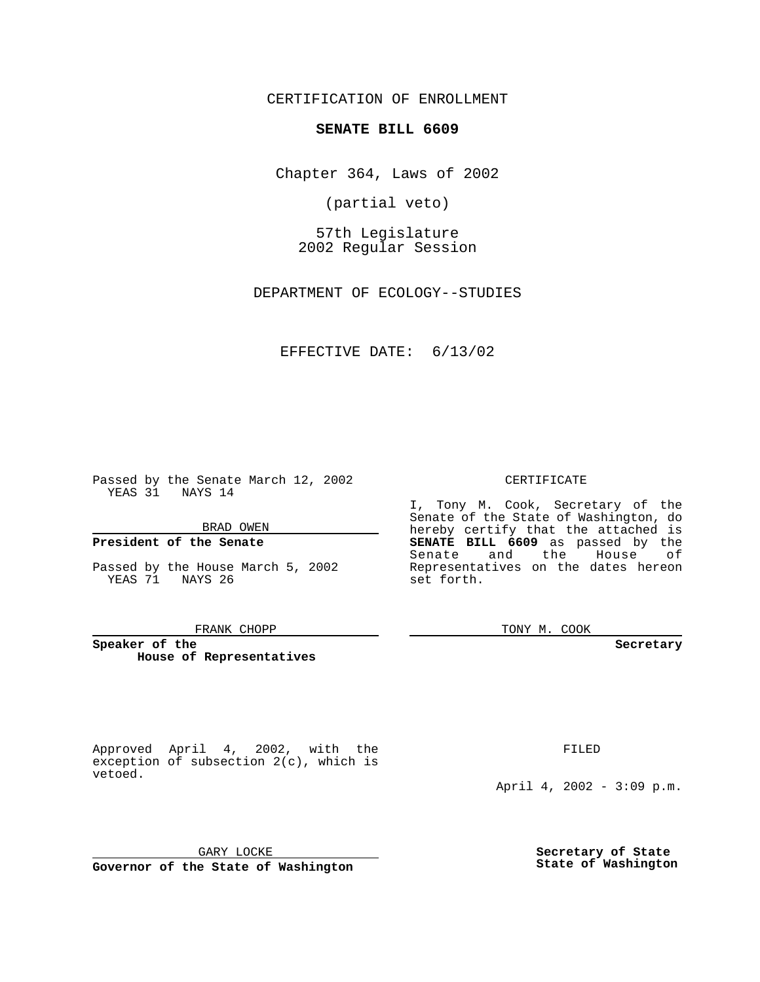CERTIFICATION OF ENROLLMENT

## **SENATE BILL 6609**

Chapter 364, Laws of 2002

(partial veto)

57th Legislature 2002 Regular Session

DEPARTMENT OF ECOLOGY--STUDIES

## EFFECTIVE DATE: 6/13/02

Passed by the Senate March 12, 2002 YEAS 31 NAYS 14

### BRAD OWEN

## **President of the Senate**

Passed by the House March 5, 2002 YEAS 71 NAYS 26

#### FRANK CHOPP

**Speaker of the House of Representatives** CERTIFICATE

I, Tony M. Cook, Secretary of the Senate of the State of Washington, do hereby certify that the attached is **SENATE BILL 6609** as passed by the Senate and the House of Representatives on the dates hereon set forth.

TONY M. COOK

**Secretary**

Approved April 4, 2002, with the exception of subsection 2(c), which is vetoed.

FILED

April 4, 2002 - 3:09 p.m.

GARY LOCKE

**Governor of the State of Washington**

**Secretary of State State of Washington**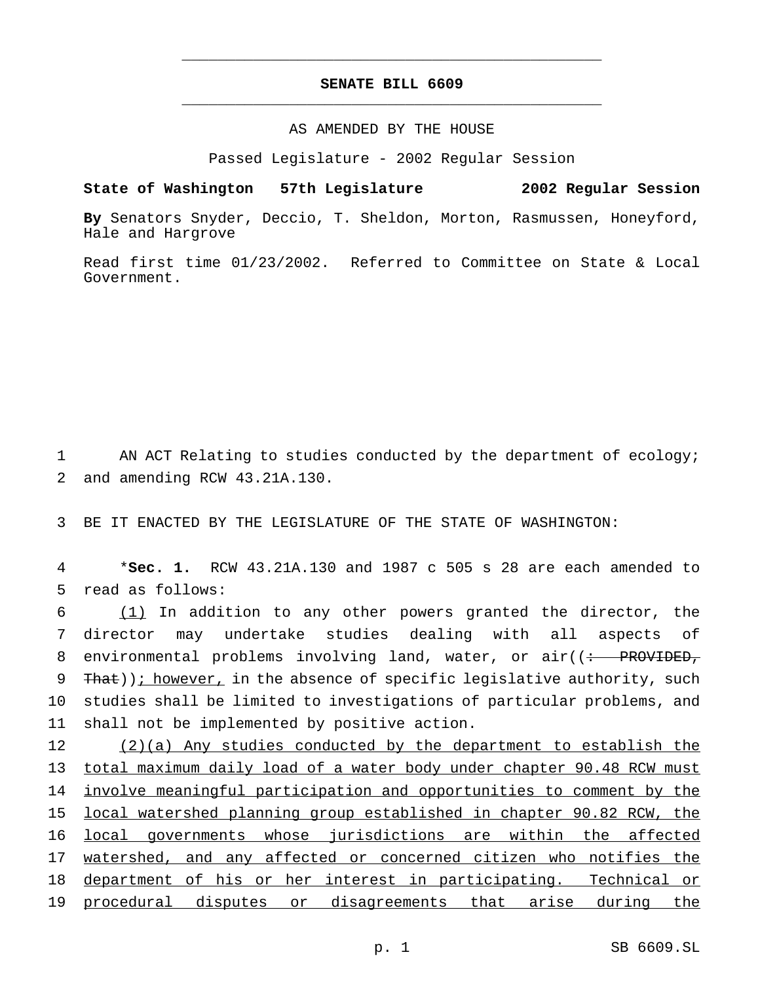# **SENATE BILL 6609** \_\_\_\_\_\_\_\_\_\_\_\_\_\_\_\_\_\_\_\_\_\_\_\_\_\_\_\_\_\_\_\_\_\_\_\_\_\_\_\_\_\_\_\_\_\_\_

\_\_\_\_\_\_\_\_\_\_\_\_\_\_\_\_\_\_\_\_\_\_\_\_\_\_\_\_\_\_\_\_\_\_\_\_\_\_\_\_\_\_\_\_\_\_\_

## AS AMENDED BY THE HOUSE

Passed Legislature - 2002 Regular Session

#### **State of Washington 57th Legislature 2002 Regular Session**

**By** Senators Snyder, Deccio, T. Sheldon, Morton, Rasmussen, Honeyford, Hale and Hargrove

Read first time 01/23/2002. Referred to Committee on State & Local Government.

1 AN ACT Relating to studies conducted by the department of ecology; 2 and amending RCW 43.21A.130.

3 BE IT ENACTED BY THE LEGISLATURE OF THE STATE OF WASHINGTON:

4 \***Sec. 1.** RCW 43.21A.130 and 1987 c 505 s 28 are each amended to 5 read as follows:

 (1) In addition to any other powers granted the director, the director may undertake studies dealing with all aspects of 8 environmental problems involving land, water, or air((: PROVIDED, 9 That)); however, in the absence of specific legislative authority, such studies shall be limited to investigations of particular problems, and shall not be implemented by positive action.

 (2)(a) Any studies conducted by the department to establish the total maximum daily load of a water body under chapter 90.48 RCW must involve meaningful participation and opportunities to comment by the local watershed planning group established in chapter 90.82 RCW, the local governments whose jurisdictions are within the affected 17 watershed, and any affected or concerned citizen who notifies the department of his or her interest in participating. Technical or procedural disputes or disagreements that arise during the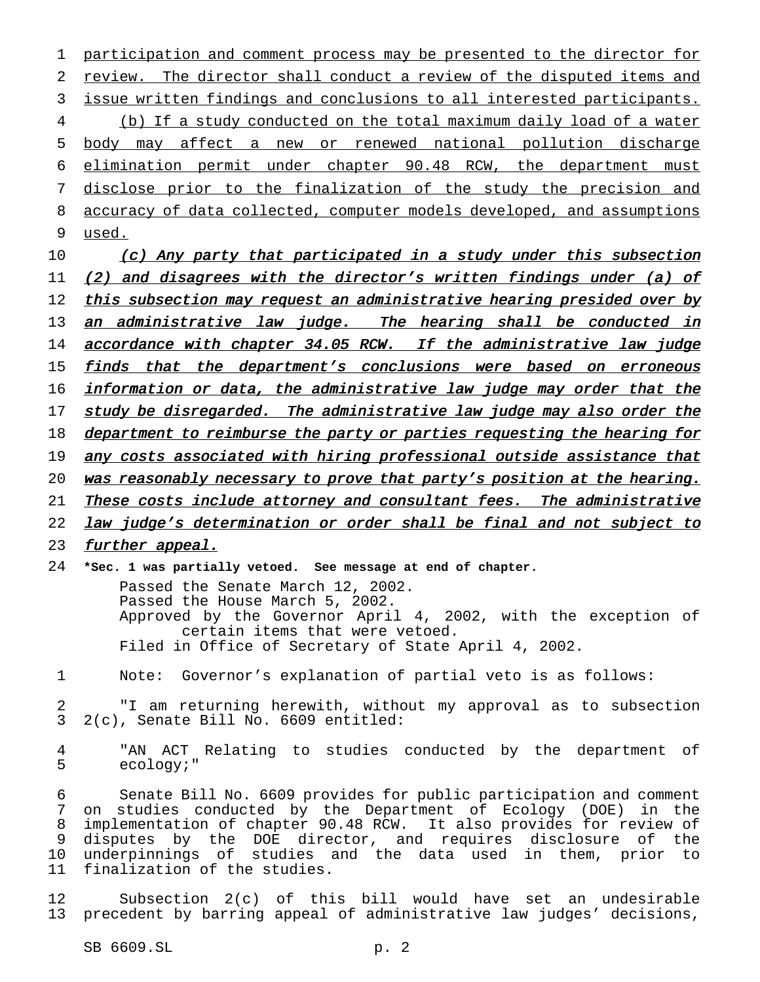participation and comment process may be presented to the director for review. The director shall conduct a review of the disputed items and issue written findings and conclusions to all interested participants. (b) If a study conducted on the total maximum daily load of a water body may affect a new or renewed national pollution discharge elimination permit under chapter 90.48 RCW, the department must disclose prior to the finalization of the study the precision and accuracy of data collected, computer models developed, and assumptions 9 used.

10 (c) Any party that participated in a study under this subsection 11 (2) and disagrees with the director's written findings under (a) of 12 this subsection may request an administrative hearing presided over by 13 an administrative law judge. The hearing shall be conducted in 14 accordance with chapter 34.05 RCW. If the administrative law judge 15 finds that the department's conclusions were based on erroneous 16 information or data, the administrative law judge may order that the 17 study be disregarded. The administrative law judge may also order the 18 department to reimburse the party or parties requesting the hearing for 19 any costs associated with hiring professional outside assistance that 20 was reasonably necessary to prove that party's position at the hearing. 21 These costs include attorney and consultant fees. The administrative 22 law judge's determination or order shall be final and not subject to 23 further appeal.

24 **\*Sec. 1 was partially vetoed. See message at end of chapter.**

Passed the Senate March 12, 2002. Passed the House March 5, 2002. Approved by the Governor April 4, 2002, with the exception of certain items that were vetoed. Filed in Office of Secretary of State April 4, 2002.

1 Note: Governor's explanation of partial veto is as follows:

2 "I am returning herewith, without my approval as to subsection 3 2(c), Senate Bill No. 6609 entitled:

4 "AN ACT Relating to studies conducted by the department of 5 ecology;"

 Senate Bill No. 6609 provides for public participation and comment on studies conducted by the Department of Ecology (DOE) in the implementation of chapter 90.48 RCW. It also provides for review of disputes by the DOE director, and requires disclosure of the underpinnings of studies and the data used in them, prior to finalization of the studies.

12 Subsection 2(c) of this bill would have set an undesirable 13 precedent by barring appeal of administrative law judges' decisions,